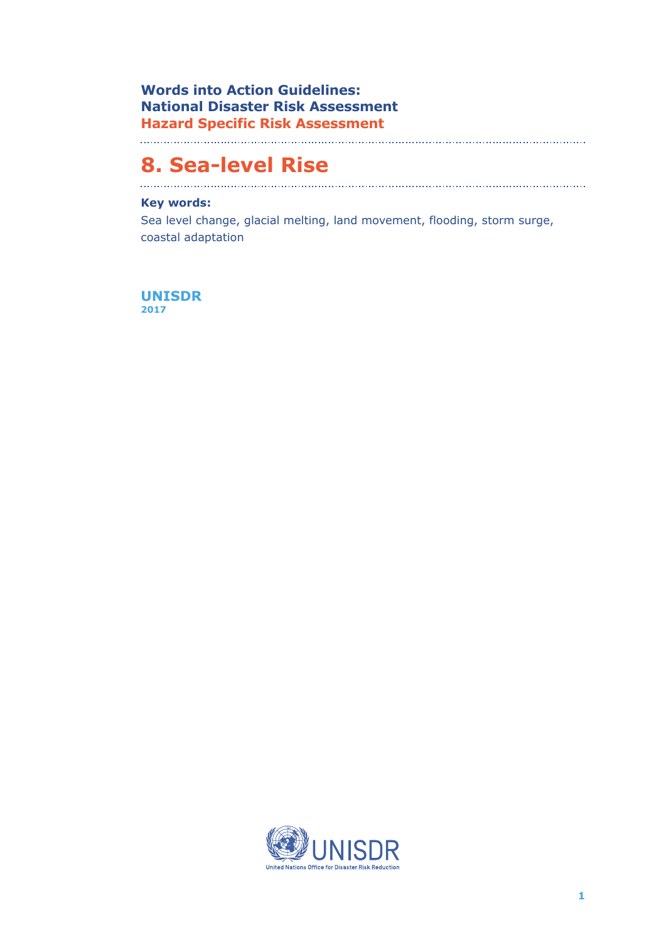**Words into Action Guidelines: National Disaster Risk Assessment Hazard Specific Risk Assessment**

#### 

# **8. Sea-level Rise**

## **Key words:**

Sea level change, glacial melting, land movement, flooding, storm surge, coastal adaptation

**UNISDR 2017** 

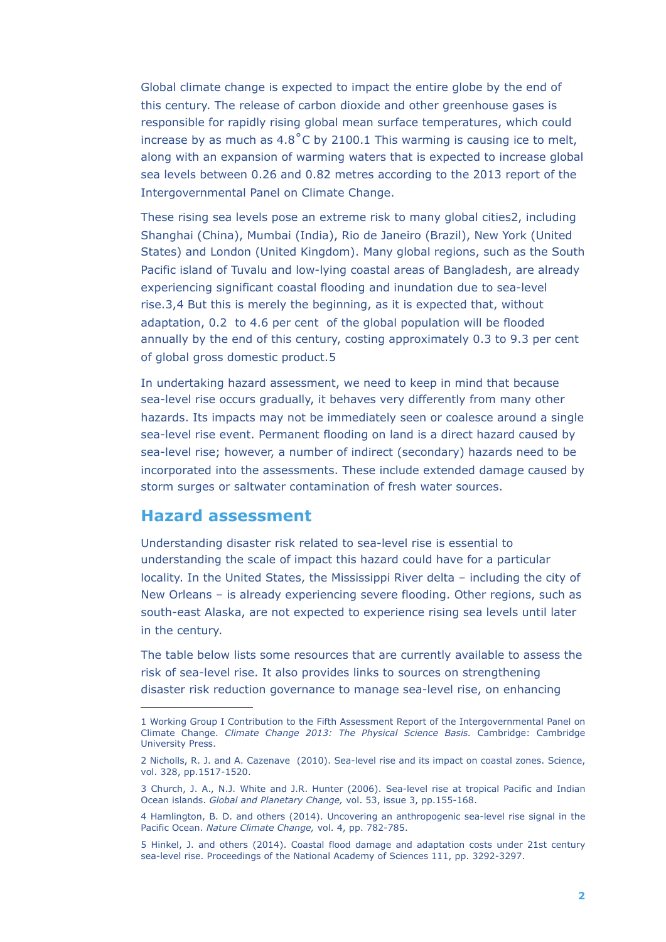Global climate change is expected to impact the entire globe by the end of this century. The release of carbon dioxide and other greenhouse gases is responsible for rapidly rising global mean surface temperatures, which could increase by as much as 4.8˚C by 2100.1 This warming is causing ice to melt, along with an expansion of warming waters that is expected to increase global sea levels between 0.26 and 0.82 metres according to the 2013 report of the Intergovernmental Panel on Climate Change.

These rising sea levels pose an extreme risk to many global cities2, including Shanghai (China), Mumbai (India), Rio de Janeiro (Brazil), New York (United States) and London (United Kingdom). Many global regions, such as the South Pacific island of Tuvalu and low-lying coastal areas of Bangladesh, are already experiencing significant coastal flooding and inundation due to sea-level rise.3 4, But this is merely the beginning, as it is expected that, without adaptation, 0.2 to 4.6 per cent of the global population will be flooded annually by the end of this century, costing approximately 0.3 to 9.3 per cent of global gross domestic product.5

In undertaking hazard assessment, we need to keep in mind that because sea-level rise occurs gradually, it behaves very differently from many other hazards. Its impacts may not be immediately seen or coalesce around a single sea-level rise event. Permanent flooding on land is a direct hazard caused by sea-level rise; however, a number of indirect (secondary) hazards need to be incorporated into the assessments. These include extended damage caused by storm surges or saltwater contamination of fresh water sources.

# **Hazard assessment**

Understanding disaster risk related to sea-level rise is essential to understanding the scale of impact this hazard could have for a particular locality. In the United States, the Mississippi River delta – including the city of New Orleans – is already experiencing severe flooding. Other regions, such as south-east Alaska, are not expected to experience rising sea levels until later in the century.

The table below lists some resources that are currently available to assess the risk of sea-level rise. It also provides links to sources on strengthening disaster risk reduction governance to manage sea-level rise, on enhancing

<sup>1</sup> Working Group I Contribution to the Fifth Assessment Report of the Intergovernmental Panel on Climate Change. *Climate Change 2013: The Physical Science Basis.* Cambridge: Cambridge University Press.

<sup>2</sup> Nicholls, R. J. and A. Cazenave (2010). Sea-level rise and its impact on coastal zones. Science, vol. 328, pp.1517-1520.

<sup>3</sup> Church, J. A., N.J. White and J.R. Hunter (2006). Sea-level rise at tropical Pacific and Indian Ocean islands. *Global and Planetary Change,* vol. 53, issue 3, pp.155-168.

<sup>4</sup> Hamlington, B. D. and others (2014). Uncovering an anthropogenic sea-level rise signal in the Pacific Ocean. *Nature Climate Change,* vol. 4, pp. 782-785.

<sup>5</sup> Hinkel, J. and others (2014). Coastal flood damage and adaptation costs under 21st century sea-level rise. Proceedings of the National Academy of Sciences 111, pp. 3292-3297.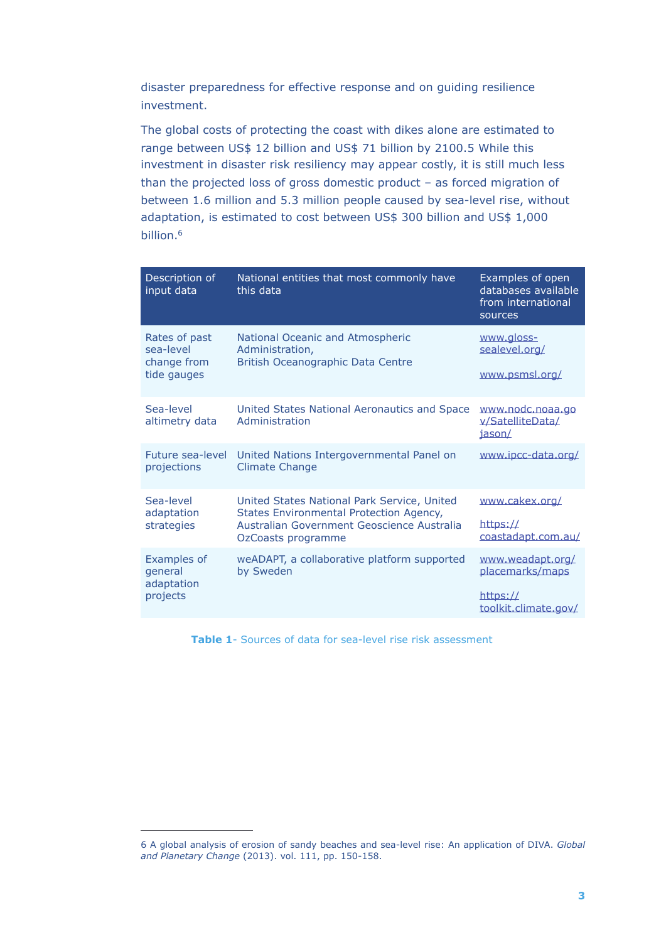disaster preparedness for effective response and on guiding resilience investment.

The global costs of protecting the coast with dikes alone are estimated to range between US\$ 12 billion and US\$ 71 billion by 2100.5 While this investment in disaster risk resiliency may appear costly, it is still much less than the projected loss of gross domestic product – as forced migration of between 1.6 million and 5.3 million people caused by sea-level rise, without adaptation, is estimated to cost between US\$ 300 billion and US\$ 1,000 billion.<sup>6</sup>

| Description of<br>input data                             | National entities that most commonly have<br>this data                                                                                                     | Examples of open<br>databases available<br>from international<br>sources |
|----------------------------------------------------------|------------------------------------------------------------------------------------------------------------------------------------------------------------|--------------------------------------------------------------------------|
| Rates of past<br>sea-level<br>change from<br>tide gauges | National Oceanic and Atmospheric<br>Administration,<br>British Oceanographic Data Centre                                                                   | www.gloss-<br>sealevel.org/<br>www.psmsl.org/                            |
| Sea-level<br>altimetry data                              | United States National Aeronautics and Space<br>Administration                                                                                             | www.nodc.noaa.go<br>v/SatelliteData/<br>iason/                           |
| Future sea-level<br>projections                          | United Nations Intergovernmental Panel on<br><b>Climate Change</b>                                                                                         | www.ipcc-data.org/                                                       |
| Sea-level<br>adaptation<br>strategies                    | United States National Park Service, United<br>States Environmental Protection Agency,<br>Australian Government Geoscience Australia<br>OzCoasts programme | www.cakex.org/<br>https://<br>coastadapt.com.au/                         |
| <b>Examples of</b><br>general<br>adaptation<br>projects  | weADAPT, a collaborative platform supported<br>by Sweden                                                                                                   | www.weadapt.org/<br>placemarks/maps<br>https://<br>toolkit.climate.gov/  |

**Table 1**- Sources of data for sea-level rise risk assessment

<sup>6</sup> A global analysis of erosion of sandy beaches and sea-level rise: An application of DIVA. *Global and Planetary Change* (2013). vol. 111, pp. 150-158.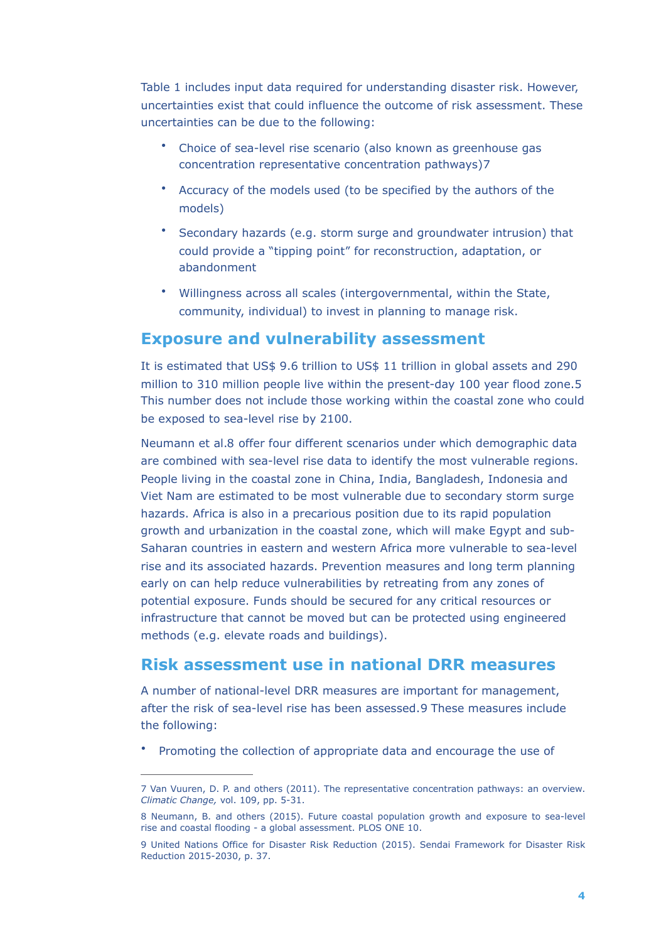Table 1 includes input data required for understanding disaster risk. However, uncertainties exist that could influence the outcome of risk assessment. These uncertainties can be due to the following:

- Choice of sea-level rise scenario (also known as greenhouse gas concentration representative concentration pathways)7
- Accuracy of the models used (to be specified by the authors of the models)
- Secondary hazards (e.g. storm surge and groundwater intrusion) that could provide a "tipping point" for reconstruction, adaptation, or abandonment
- Willingness across all scales (intergovernmental, within the State, community, individual) to invest in planning to manage risk.

# **Exposure and vulnerability assessment**

It is estimated that US\$ 9.6 trillion to US\$ 11 trillion in global assets and 290 million to 310 million people live within the present-day 100 year flood zone.5 This number does not include those working within the coastal zone who could be exposed to sea-level rise by 2100.

Neumann et al.8 offer four different scenarios under which demographic data are combined with sea-level rise data to identify the most vulnerable regions. People living in the coastal zone in China, India, Bangladesh, Indonesia and Viet Nam are estimated to be most vulnerable due to secondary storm surge hazards. Africa is also in a precarious position due to its rapid population growth and urbanization in the coastal zone, which will make Egypt and sub-Saharan countries in eastern and western Africa more vulnerable to sea-level rise and its associated hazards. Prevention measures and long term planning early on can help reduce vulnerabilities by retreating from any zones of potential exposure. Funds should be secured for any critical resources or infrastructure that cannot be moved but can be protected using engineered methods (e.g. elevate roads and buildings).

# **Risk assessment use in national DRR measures**

A number of national-level DRR measures are important for management, after the risk of sea-level rise has been assessed.9 These measures include the following:

• Promoting the collection of appropriate data and encourage the use of

<sup>7</sup> Van Vuuren, D. P. and others (2011). The representative concentration pathways: an overview. *Climatic Change,* vol. 109, pp. 5-31.

<sup>8</sup> Neumann, B. and others (2015). Future coastal population growth and exposure to sea-level rise and coastal flooding - a global assessment. PLOS ONE 10.

<sup>9</sup> United Nations Office for Disaster Risk Reduction (2015). Sendai Framework for Disaster Risk Reduction 2015-2030, p. 37.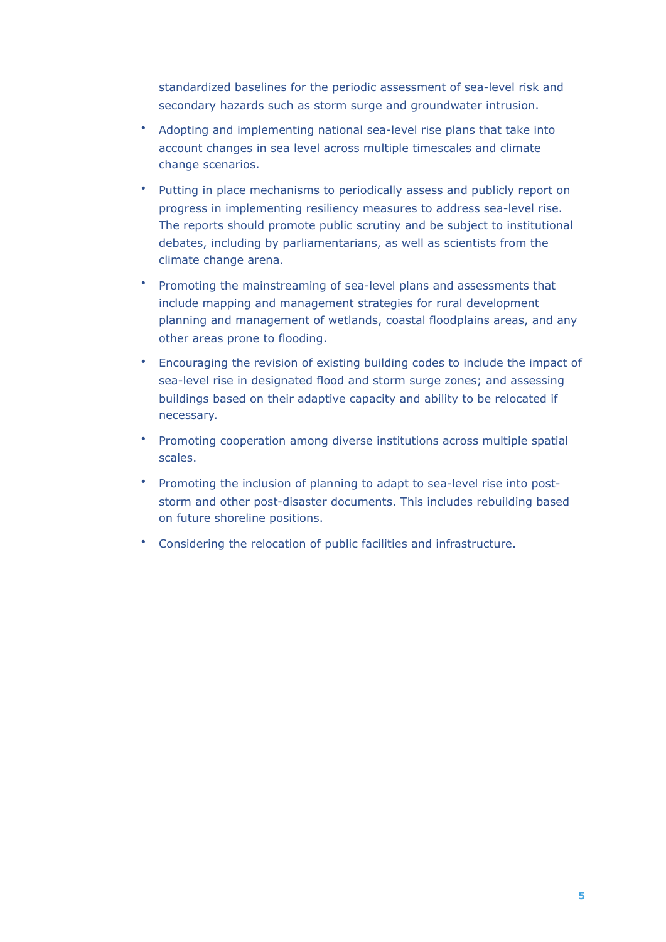standardized baselines for the periodic assessment of sea-level risk and secondary hazards such as storm surge and groundwater intrusion.

- Adopting and implementing national sea-level rise plans that take into account changes in sea level across multiple timescales and climate change scenarios.
- Putting in place mechanisms to periodically assess and publicly report on progress in implementing resiliency measures to address sea-level rise. The reports should promote public scrutiny and be subject to institutional debates, including by parliamentarians, as well as scientists from the climate change arena.
- Promoting the mainstreaming of sea-level plans and assessments that include mapping and management strategies for rural development planning and management of wetlands, coastal floodplains areas, and any other areas prone to flooding.
- Encouraging the revision of existing building codes to include the impact of sea-level rise in designated flood and storm surge zones; and assessing buildings based on their adaptive capacity and ability to be relocated if necessary.
- Promoting cooperation among diverse institutions across multiple spatial scales.
- Promoting the inclusion of planning to adapt to sea-level rise into poststorm and other post-disaster documents. This includes rebuilding based on future shoreline positions.
- Considering the relocation of public facilities and infrastructure.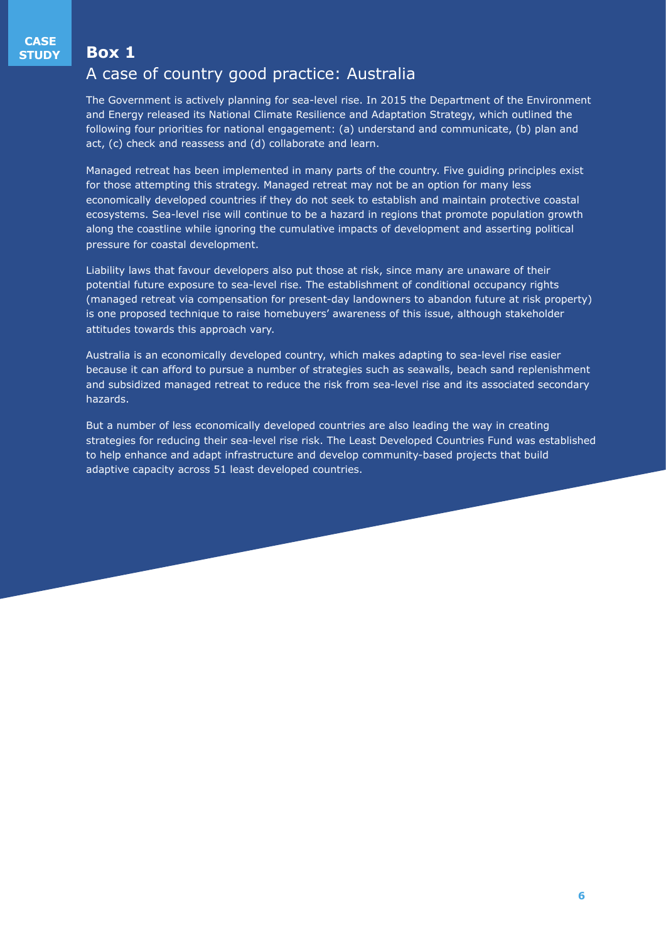#### **Box 1**

# A case of country good practice: Australia

The Government is actively planning for sea-level rise. In 2015 the Department of the Environment and Energy released its National Climate Resilience and Adaptation Strategy, which outlined the following four priorities for national engagement: (a) understand and communicate, (b) plan and act, (c) check and reassess and (d) collaborate and learn.

Managed retreat has been implemented in many parts of the country. Five guiding principles exist for those attempting this strategy. Managed retreat may not be an option for many less economically developed countries if they do not seek to establish and maintain protective coastal ecosystems. Sea-level rise will continue to be a hazard in regions that promote population growth along the coastline while ignoring the cumulative impacts of development and asserting political pressure for coastal development.

Liability laws that favour developers also put those at risk, since many are unaware of their potential future exposure to sea-level rise. The establishment of conditional occupancy rights (managed retreat via compensation for present-day landowners to abandon future at risk property) is one proposed technique to raise homebuyers' awareness of this issue, although stakeholder attitudes towards this approach vary.

Australia is an economically developed country, which makes adapting to sea-level rise easier because it can afford to pursue a number of strategies such as seawalls, beach sand replenishment and subsidized managed retreat to reduce the risk from sea-level rise and its associated secondary hazards.

But a number of less economically developed countries are also leading the way in creating strategies for reducing their sea-level rise risk. The Least Developed Countries Fund was established to help enhance and adapt infrastructure and develop community-based projects that build adaptive capacity across 51 least developed countries.